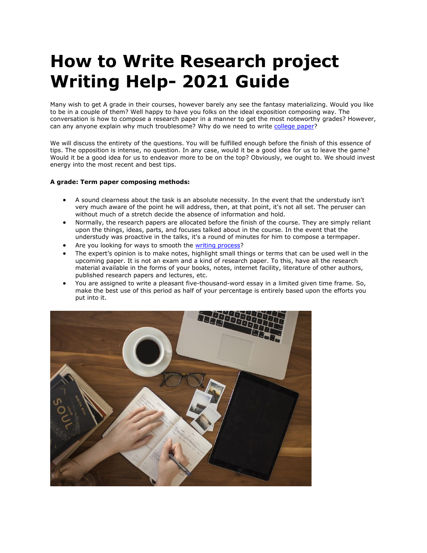# **How to Write Research project Writing Help- 2021 Guide**

Many wish to get A grade in their courses, however barely any see the fantasy materializing. Would you like to be in a couple of them? Well happy to have you folks on the ideal exposition composing way. The conversation is how to compose a research paper in a manner to get the most noteworthy grades? However, can any anyone explain why much troublesome? Why do we need to write [college paper?](https://perfectessaywriting.com/college-paper)

We will discuss the entirety of the questions. You will be fulfilled enough before the finish of this essence of tips. The opposition is intense, no question. In any case, would it be a good idea for us to leave the game? Would it be a good idea for us to endeavor more to be on the top? Obviously, we ought to. We should invest energy into the most recent and best tips.

## **A grade: Term paper composing methods:**

- A sound clearness about the task is an absolute necessity. In the event that the understudy isn't very much aware of the point he will address, then, at that point, it's not all set. The peruser can without much of a stretch decide the absence of information and hold.
- Normally, the research papers are allocated before the finish of the course. They are simply reliant upon the things, ideas, parts, and focuses talked about in the course. In the event that the understudy was proactive in the talks, it's a round of minutes for him to compose a termpaper.
- Are you looking for ways to smooth the [writing process?](https://perfectessaywriting.com/blog/writing-process)
- The expert's opinion is to make notes, highlight small things or terms that can be used well in the upcoming paper. It is not an exam and a kind of research paper. To this, have all the research material available in the forms of your books, notes, internet facility, literature of other authors, published research papers and lectures, etc.
- You are assigned to write a pleasant five-thousand-word essay in a limited given time frame. So, make the best use of this period as half of your percentage is entirely based upon the efforts you put into it.